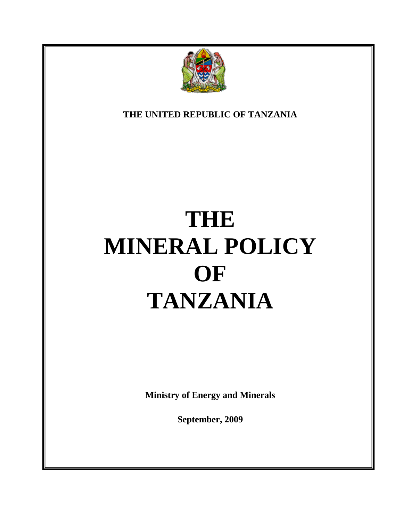

<span id="page-0-0"></span>**THE UNITED REPUBLIC OF TANZANIA**

# **THE MINERAL POLICY OF TANZANIA**

**Ministry of Energy and Minerals**

**September, 2009**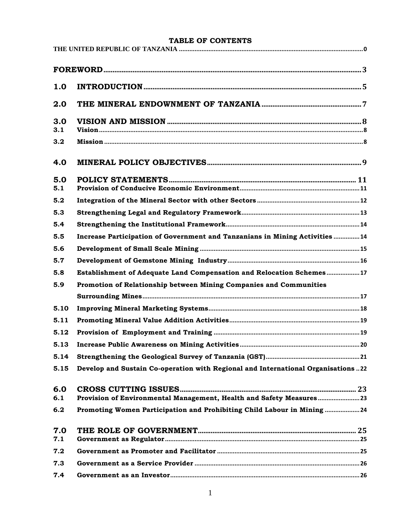| TABLE OF CONTENTS |                                                                                   |  |  |
|-------------------|-----------------------------------------------------------------------------------|--|--|
|                   |                                                                                   |  |  |
|                   |                                                                                   |  |  |
| 1.0               |                                                                                   |  |  |
| 2.0               |                                                                                   |  |  |
| 3.0<br>3.1        |                                                                                   |  |  |
| 3.2               |                                                                                   |  |  |
| 4.0               |                                                                                   |  |  |
| 5.0<br>5.1        |                                                                                   |  |  |
| 5.2               |                                                                                   |  |  |
| 5.3               |                                                                                   |  |  |
| 5.4               |                                                                                   |  |  |
| 5.5               | Increase Participation of Government and Tanzanians in Mining Activities14        |  |  |
| 5.6               |                                                                                   |  |  |
| 5.7               |                                                                                   |  |  |
| 5.8               | Establishment of Adequate Land Compensation and Relocation Schemes17              |  |  |
| 5.9               | Promotion of Relationship between Mining Companies and Communities                |  |  |
|                   |                                                                                   |  |  |
| 5.10              |                                                                                   |  |  |
| 5.11              |                                                                                   |  |  |
|                   |                                                                                   |  |  |
| 5.13              |                                                                                   |  |  |
| 5.14              |                                                                                   |  |  |
| 5.15              | Develop and Sustain Co-operation with Regional and International Organisations 22 |  |  |
| 6.0<br>6.1        | Provision of Environmental Management, Health and Safety Measures 23              |  |  |
| 6.2               | Promoting Women Participation and Prohibiting Child Labour in Mining 24           |  |  |
| 7.0<br>7.1        |                                                                                   |  |  |
| 7.2               |                                                                                   |  |  |
| 7.3               |                                                                                   |  |  |
| 7.4               |                                                                                   |  |  |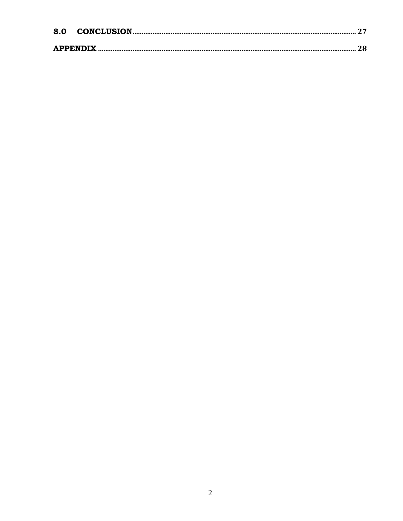| 8.0 |  |
|-----|--|
|     |  |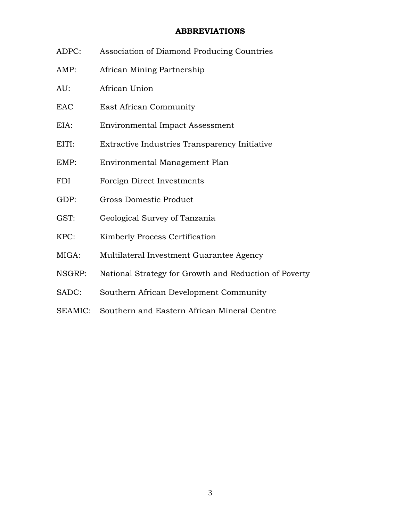#### **ABBREVIATIONS**

- <span id="page-3-0"></span>ADPC: Association of Diamond Producing Countries
- AMP: African Mining Partnership
- AU: African Union
- EAC East African Community
- EIA: Environmental Impact Assessment
- EITI: Extractive Industries Transparency Initiative
- EMP: Environmental Management Plan
- FDI Foreign Direct Investments
- GDP: Gross Domestic Product
- GST: Geological Survey of Tanzania
- KPC: Kimberly Process Certification
- MIGA: Multilateral Investment Guarantee Agency
- NSGRP: National Strategy for Growth and Reduction of Poverty
- SADC: Southern African Development Community
- SEAMIC: Southern and Eastern African Mineral Centre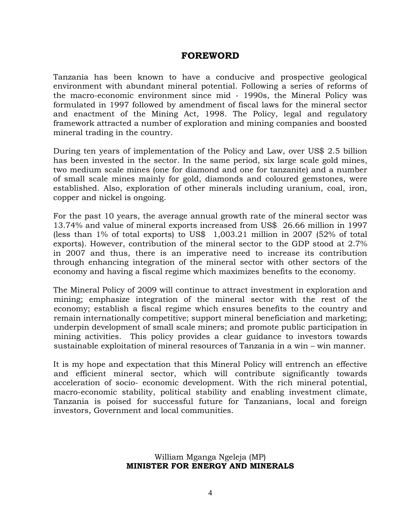# **FOREWORD**

Tanzania has been known to have a conducive and prospective geological environment with abundant mineral potential. Following a series of reforms of the macro-economic environment since mid - 1990s, the Mineral Policy was formulated in 1997 followed by amendment of fiscal laws for the mineral sector and enactment of the Mining Act, 1998. The Policy, legal and regulatory framework attracted a number of exploration and mining companies and boosted mineral trading in the country.

During ten years of implementation of the Policy and Law, over US\$ 2.5 billion has been invested in the sector. In the same period, six large scale gold mines, two medium scale mines (one for diamond and one for tanzanite) and a number of small scale mines mainly for gold, diamonds and coloured gemstones, were established. Also, exploration of other minerals including uranium, coal, iron, copper and nickel is ongoing.

For the past 10 years, the average annual growth rate of the mineral sector was 13.74% and value of mineral exports increased from US\$ 26.66 million in 1997 (less than 1% of total exports) to US\$ 1,003.21 million in 2007 (52% of total exports). However, contribution of the mineral sector to the GDP stood at 2.7% in 2007 and thus, there is an imperative need to increase its contribution through enhancing integration of the mineral sector with other sectors of the economy and having a fiscal regime which maximizes benefits to the economy.

The Mineral Policy of 2009 will continue to attract investment in exploration and mining; emphasize integration of the mineral sector with the rest of the economy; establish a fiscal regime which ensures benefits to the country and remain internationally competitive; support mineral beneficiation and marketing; underpin development of small scale miners; and promote public participation in mining activities. This policy provides a clear guidance to investors towards sustainable exploitation of mineral resources of Tanzania in a win – win manner.

It is my hope and expectation that this Mineral Policy will entrench an effective and efficient mineral sector, which will contribute significantly towards acceleration of socio- economic development. With the rich mineral potential, macro-economic stability, political stability and enabling investment climate, Tanzania is poised for successful future for Tanzanians, local and foreign investors, Government and local communities.

> William Mganga Ngeleja (MP) **MINISTER FOR ENERGY AND MINERALS**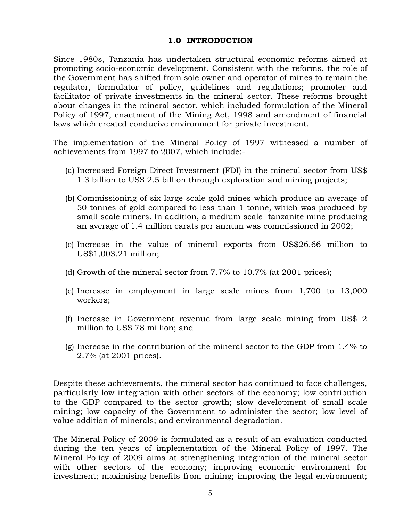#### **1.0 INTRODUCTION**

<span id="page-5-0"></span>Since 1980s, Tanzania has undertaken structural economic reforms aimed at promoting socio-economic development. Consistent with the reforms, the role of the Government has shifted from sole owner and operator of mines to remain the regulator, formulator of policy, guidelines and regulations; promoter and facilitator of private investments in the mineral sector. These reforms brought about changes in the mineral sector, which included formulation of the Mineral Policy of 1997, enactment of the Mining Act, 1998 and amendment of financial laws which created conducive environment for private investment.

The implementation of the Mineral Policy of 1997 witnessed a number of achievements from 1997 to 2007, which include:-

- (a) Increased Foreign Direct Investment (FDI) in the mineral sector from US\$ 1.3 billion to US\$ 2.5 billion through exploration and mining projects;
- (b) Commissioning of six large scale gold mines which produce an average of 50 tonnes of gold compared to less than 1 tonne, which was produced by small scale miners. In addition, a medium scale tanzanite mine producing an average of 1.4 million carats per annum was commissioned in 2002;
- (c) Increase in the value of mineral exports from US\$26.66 million to US\$1,003.21 million;
- (d) Growth of the mineral sector from 7.7% to 10.7% (at 2001 prices);
- (e) Increase in employment in large scale mines from 1,700 to 13,000 workers;
- (f) Increase in Government revenue from large scale mining from US\$ 2 million to US\$ 78 million; and
- (g) Increase in the contribution of the mineral sector to the GDP from 1.4% to 2.7% (at 2001 prices).

Despite these achievements, the mineral sector has continued to face challenges, particularly low integration with other sectors of the economy; low contribution to the GDP compared to the sector growth; slow development of small scale mining; low capacity of the Government to administer the sector; low level of value addition of minerals; and environmental degradation.

The Mineral Policy of 2009 is formulated as a result of an evaluation conducted during the ten years of implementation of the Mineral Policy of 1997. The Mineral Policy of 2009 aims at strengthening integration of the mineral sector with other sectors of the economy; improving economic environment for investment; maximising benefits from mining; improving the legal environment;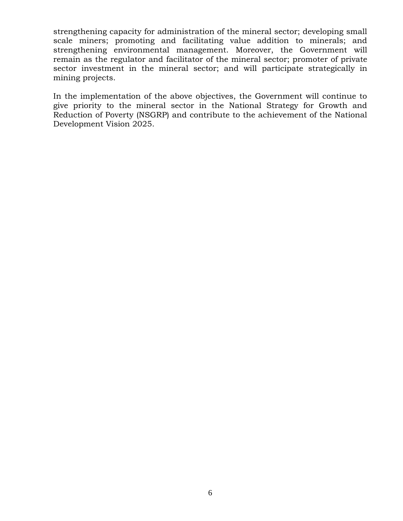strengthening capacity for administration of the mineral sector; developing small scale miners; promoting and facilitating value addition to minerals; and strengthening environmental management. Moreover, the Government will remain as the regulator and facilitator of the mineral sector; promoter of private sector investment in the mineral sector; and will participate strategically in mining projects.

In the implementation of the above objectives, the Government will continue to give priority to the mineral sector in the National Strategy for Growth and Reduction of Poverty (NSGRP) and contribute to the achievement of the National Development Vision 2025.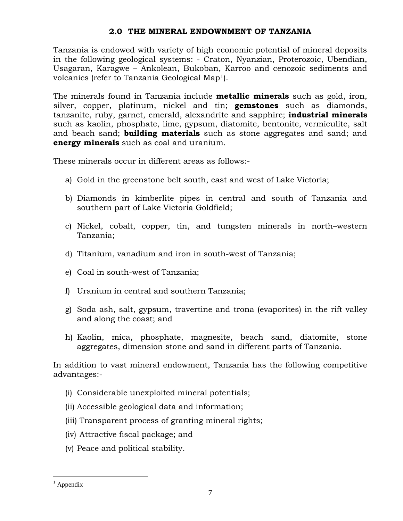#### **2.0 THE MINERAL ENDOWNMENT OF TANZANIA**

<span id="page-7-0"></span>Tanzania is endowed with variety of high economic potential of mineral deposits in the following geological systems: - Craton, Nyanzian, Proterozoic, Ubendian, Usagaran, Karagwe – Ankolean, Bukoban, Karroo and cenozoic sediments and volcanics (refer to Tanzania Geological Map1).

The minerals found in Tanzania include **metallic minerals** such as gold, iron, silver, copper, platinum, nickel and tin; **gemstones** such as diamonds, tanzanite, ruby, garnet, emerald, alexandrite and sapphire; **industrial minerals** such as kaolin, phosphate, lime, gypsum, diatomite, bentonite, vermiculite, salt and beach sand; **building materials** such as stone aggregates and sand; and **energy minerals** such as coal and uranium.

These minerals occur in different areas as follows:-

- a) Gold in the greenstone belt south, east and west of Lake Victoria;
- b) Diamonds in kimberlite pipes in central and south of Tanzania and southern part of Lake Victoria Goldfield;
- c) Nickel, cobalt, copper, tin, and tungsten minerals in north–western Tanzania;
- d) Titanium, vanadium and iron in south-west of Tanzania;
- e) Coal in south-west of Tanzania;
- f) Uranium in central and southern Tanzania;
- g) Soda ash, salt, gypsum, travertine and trona (evaporites) in the rift valley and along the coast; and
- h) Kaolin, mica, phosphate, magnesite, beach sand, diatomite, stone aggregates, dimension stone and sand in different parts of Tanzania.

In addition to vast mineral endowment, Tanzania has the following competitive advantages:-

- (i) Considerable unexploited mineral potentials;
- (ii) Accessible geological data and information;
- (iii) Transparent process of granting mineral rights;
- (iv) Attractive fiscal package; and
- (v) Peace and political stability.

 $\overline{a}$ 

 $<sup>1</sup>$  Appendix</sup>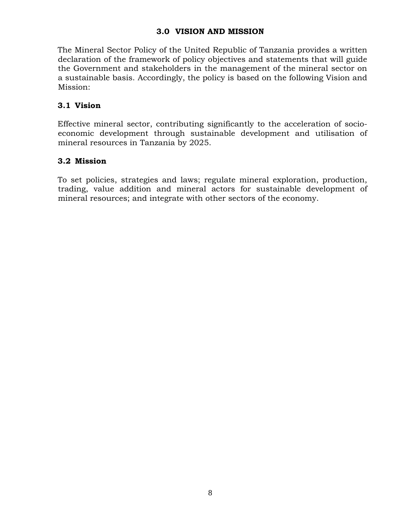## **3.0 VISION AND MISSION**

<span id="page-8-0"></span>The Mineral Sector Policy of the United Republic of Tanzania provides a written declaration of the framework of policy objectives and statements that will guide the Government and stakeholders in the management of the mineral sector on a sustainable basis. Accordingly, the policy is based on the following Vision and Mission:

# <span id="page-8-1"></span>**3.1 Vision**

Effective mineral sector, contributing significantly to the acceleration of socioeconomic development through sustainable development and utilisation of mineral resources in Tanzania by 2025.

## <span id="page-8-2"></span>**3.2 Mission**

To set policies, strategies and laws; regulate mineral exploration, production, trading, value addition and mineral actors for sustainable development of mineral resources; and integrate with other sectors of the economy.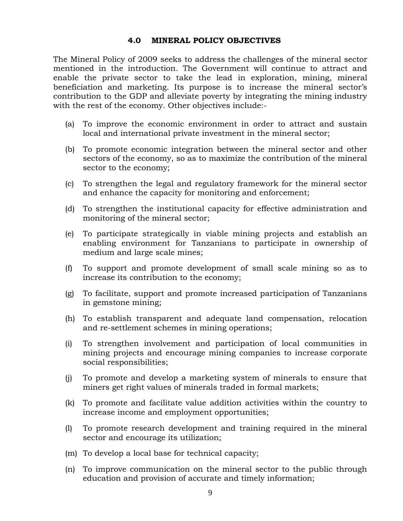#### **4.0 MINERAL POLICY OBJECTIVES**

<span id="page-9-0"></span>The Mineral Policy of 2009 seeks to address the challenges of the mineral sector mentioned in the introduction. The Government will continue to attract and enable the private sector to take the lead in exploration, mining, mineral beneficiation and marketing. Its purpose is to increase the mineral sector's contribution to the GDP and alleviate poverty by integrating the mining industry with the rest of the economy. Other objectives include:-

- (a) To improve the economic environment in order to attract and sustain local and international private investment in the mineral sector;
- (b) To promote economic integration between the mineral sector and other sectors of the economy, so as to maximize the contribution of the mineral sector to the economy;
- (c) To strengthen the legal and regulatory framework for the mineral sector and enhance the capacity for monitoring and enforcement;
- (d) To strengthen the institutional capacity for effective administration and monitoring of the mineral sector;
- (e) To participate strategically in viable mining projects and establish an enabling environment for Tanzanians to participate in ownership of medium and large scale mines;
- (f) To support and promote development of small scale mining so as to increase its contribution to the economy;
- (g) To facilitate, support and promote increased participation of Tanzanians in gemstone mining;
- (h) To establish transparent and adequate land compensation, relocation and re-settlement schemes in mining operations;
- (i) To strengthen involvement and participation of local communities in mining projects and encourage mining companies to increase corporate social responsibilities;
- (j) To promote and develop a marketing system of minerals to ensure that miners get right values of minerals traded in formal markets;
- (k) To promote and facilitate value addition activities within the country to increase income and employment opportunities;
- (l) To promote research development and training required in the mineral sector and encourage its utilization;
- (m) To develop a local base for technical capacity;
- (n) To improve communication on the mineral sector to the public through education and provision of accurate and timely information;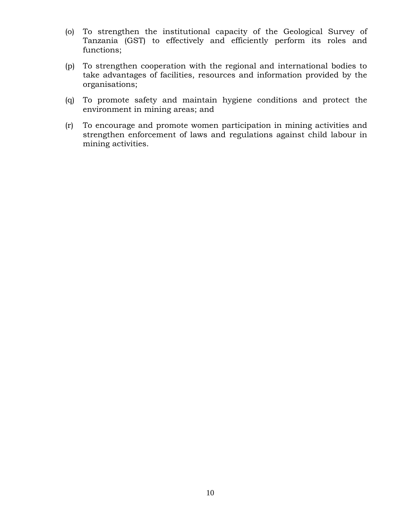- (o) To strengthen the institutional capacity of the Geological Survey of Tanzania (GST) to effectively and efficiently perform its roles and functions;
- (p) To strengthen cooperation with the regional and international bodies to take advantages of facilities, resources and information provided by the organisations;
- (q) To promote safety and maintain hygiene conditions and protect the environment in mining areas; and
- (r) To encourage and promote women participation in mining activities and strengthen enforcement of laws and regulations against child labour in mining activities.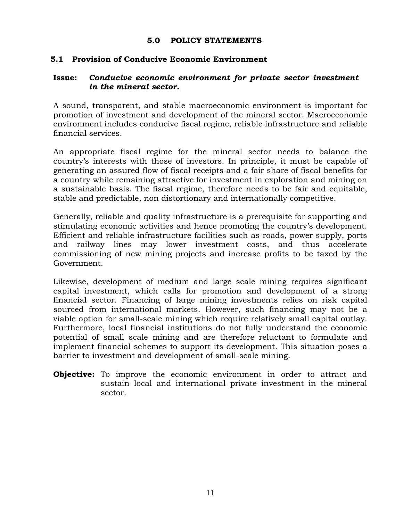#### **5.0 POLICY STATEMENTS**

## <span id="page-11-1"></span><span id="page-11-0"></span>**5.1 Provision of Conducive Economic Environment**

## **Issue:** *Conducive economic environment for private sector investment in the mineral sector.*

A sound, transparent, and stable macroeconomic environment is important for promotion of investment and development of the mineral sector. Macroeconomic environment includes conducive fiscal regime, reliable infrastructure and reliable financial services.

An appropriate fiscal regime for the mineral sector needs to balance the country's interests with those of investors. In principle, it must be capable of generating an assured flow of fiscal receipts and a fair share of fiscal benefits for a country while remaining attractive for investment in exploration and mining on a sustainable basis. The fiscal regime, therefore needs to be fair and equitable, stable and predictable, non distortionary and internationally competitive.

Generally, reliable and quality infrastructure is a prerequisite for supporting and stimulating economic activities and hence promoting the country's development. Efficient and reliable infrastructure facilities such as roads, power supply, ports and railway lines may lower investment costs, and thus accelerate commissioning of new mining projects and increase profits to be taxed by the Government.

Likewise, development of medium and large scale mining requires significant capital investment, which calls for promotion and development of a strong financial sector. Financing of large mining investments relies on risk capital sourced from international markets. However, such financing may not be a viable option for small-scale mining which require relatively small capital outlay. Furthermore, local financial institutions do not fully understand the economic potential of small scale mining and are therefore reluctant to formulate and implement financial schemes to support its development. This situation poses a barrier to investment and development of small-scale mining.

**Objective:** To improve the economic environment in order to attract and sustain local and international private investment in the mineral sector.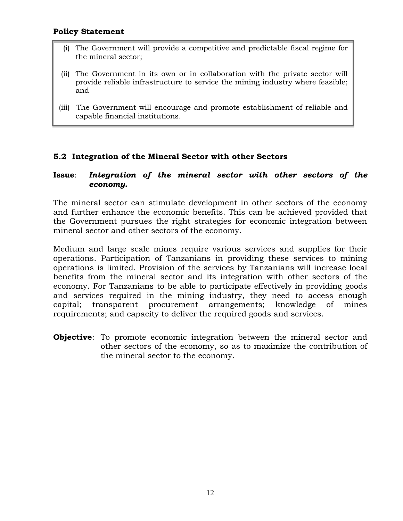- (i) The Government will provide a competitive and predictable fiscal regime for the mineral sector;
- (ii) The Government in its own or in collaboration with the private sector will provide reliable infrastructure to service the mining industry where feasible; and
- (iii) The Government will encourage and promote establishment of reliable and capable financial institutions.

#### <span id="page-12-0"></span>**5.2 Integration of the Mineral Sector with other Sectors**

#### **Issue**: *Integration of the mineral sector with other sectors of the economy.*

The mineral sector can stimulate development in other sectors of the economy and further enhance the economic benefits. This can be achieved provided that the Government pursues the right strategies for economic integration between mineral sector and other sectors of the economy.

Medium and large scale mines require various services and supplies for their operations. Participation of Tanzanians in providing these services to mining operations is limited. Provision of the services by Tanzanians will increase local benefits from the mineral sector and its integration with other sectors of the economy. For Tanzanians to be able to participate effectively in providing goods and services required in the mining industry, they need to access enough capital; transparent procurement arrangements; knowledge of mines requirements; and capacity to deliver the required goods and services.

**Objective**: To promote economic integration between the mineral sector and other sectors of the economy, so as to maximize the contribution of the mineral sector to the economy.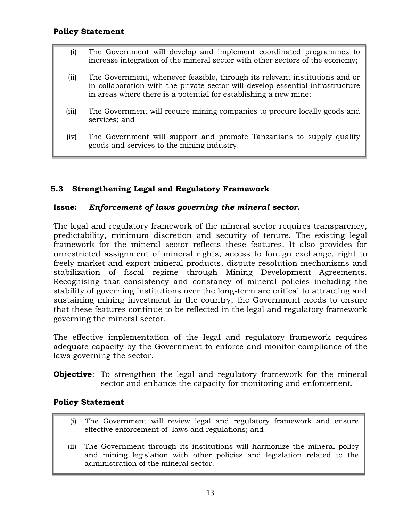- (i) The Government will develop and implement coordinated programmes to increase integration of the mineral sector with other sectors of the economy;
- (ii) The Government, whenever feasible, through its relevant institutions and or in collaboration with the private sector will develop essential infrastructure in areas where there is a potential for establishing a new mine;
- (iii) The Government will require mining companies to procure locally goods and services; and
- (iv) The Government will support and promote Tanzanians to supply quality goods and services to the mining industry.

# <span id="page-13-0"></span>**5.3 Strengthening Legal and Regulatory Framework**

## **Issue:** *Enforcement of laws governing the mineral sector.*

The legal and regulatory framework of the mineral sector requires transparency, predictability, minimum discretion and security of tenure. The existing legal framework for the mineral sector reflects these features. It also provides for unrestricted assignment of mineral rights, access to foreign exchange, right to freely market and export mineral products, dispute resolution mechanisms and stabilization of fiscal regime through Mining Development Agreements. Recognising that consistency and constancy of mineral policies including the stability of governing institutions over the long-term are critical to attracting and sustaining mining investment in the country, the Government needs to ensure that these features continue to be reflected in the legal and regulatory framework governing the mineral sector.

The effective implementation of the legal and regulatory framework requires adequate capacity by the Government to enforce and monitor compliance of the laws governing the sector.

**Objective**: To strengthen the legal and regulatory framework for the mineral sector and enhance the capacity for monitoring and enforcement.

- (i) The Government will review legal and regulatory framework and ensure effective enforcement of laws and regulations; and
- (ii) The Government through its institutions will harmonize the mineral policy and mining legislation with other policies and legislation related to the administration of the mineral sector.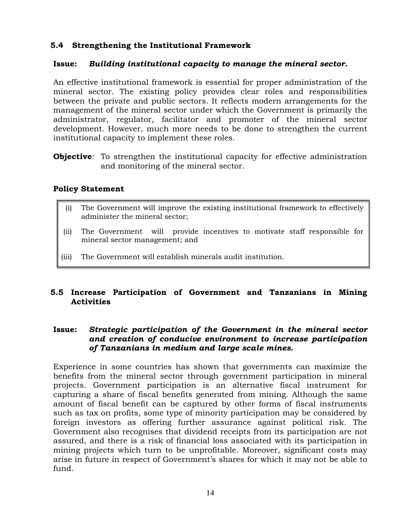# <span id="page-14-0"></span>**5.4 Strengthening the Institutional Framework**

## **Issue:** *Building institutional capacity to manage the mineral sector.*

An effective institutional framework is essential for proper administration of the mineral sector. The existing policy provides clear roles and responsibilities between the private and public sectors. It reflects modern arrangements for the management of the mineral sector under which the Government is primarily the administrator, regulator, facilitator and promoter of the mineral sector development. However, much more needs to be done to strengthen the current institutional capacity to implement these roles.

**Objective**: To strengthen the institutional capacity for effective administration and monitoring of the mineral sector.

#### **Policy Statement**

- (i) The Government will improve the existing institutional framework to effectively administer the mineral sector;
- (ii) The Government will provide incentives to motivate staff responsible for mineral sector management; and
- (iii) The Government will establish minerals audit institution.

## <span id="page-14-1"></span>**5.5 Increase Participation of Government and Tanzanians in Mining Activities**

## **Issue:** *Strategic participation of the Government in the mineral sector and creation of conducive environment to increase participation of Tanzanians in medium and large scale mines.*

Experience in some countries has shown that governments can maximize the benefits from the mineral sector through government participation in mineral projects. Government participation is an alternative fiscal instrument for capturing a share of fiscal benefits generated from mining. Although the same amount of fiscal benefit can be captured by other forms of fiscal instruments such as tax on profits, some type of minority participation may be considered by foreign investors as offering further assurance against political risk. The Government also recognises that dividend receipts from its participation are not assured, and there is a risk of financial loss associated with its participation in mining projects which turn to be unprofitable. Moreover, significant costs may arise in future in respect of Government's shares for which it may not be able to fund.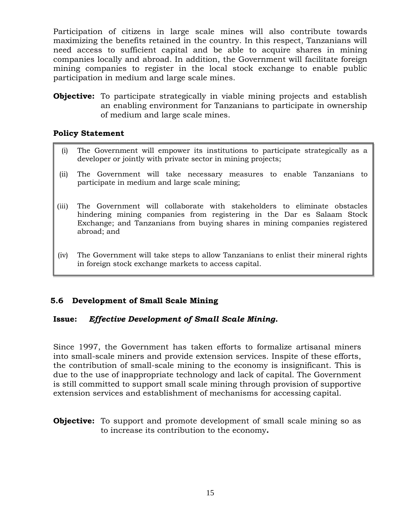Participation of citizens in large scale mines will also contribute towards maximizing the benefits retained in the country. In this respect, Tanzanians will need access to sufficient capital and be able to acquire shares in mining companies locally and abroad. In addition, the Government will facilitate foreign mining companies to register in the local stock exchange to enable public participation in medium and large scale mines.

**Objective:** To participate strategically in viable mining projects and establish an enabling environment for Tanzanians to participate in ownership of medium and large scale mines.

#### **Policy Statement**

- (i) The Government will empower its institutions to participate strategically as a developer or jointly with private sector in mining projects;
- (ii) The Government will take necessary measures to enable Tanzanians to participate in medium and large scale mining;
- (iii) The Government will collaborate with stakeholders to eliminate obstacles hindering mining companies from registering in the Dar es Salaam Stock Exchange; and Tanzanians from buying shares in mining companies registered abroad; and
- (iv) The Government will take steps to allow Tanzanians to enlist their mineral rights in foreign stock exchange markets to access capital.

# <span id="page-15-0"></span>**5.6 Development of Small Scale Mining**

#### **Issue:** *Effective Development of Small Scale Mining.*

Since 1997, the Government has taken efforts to formalize artisanal miners into small-scale miners and provide extension services. Inspite of these efforts, the contribution of small-scale mining to the economy is insignificant. This is due to the use of inappropriate technology and lack of capital. The Government is still committed to support small scale mining through provision of supportive extension services and establishment of mechanisms for accessing capital.

**Objective:** To support and promote development of small scale mining so as to increase its contribution to the economy**.**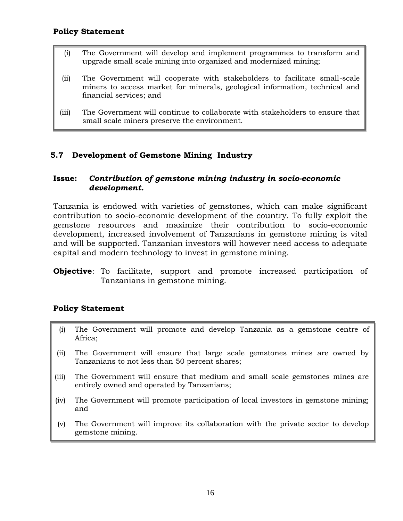- (i) The Government will develop and implement programmes to transform and upgrade small scale mining into organized and modernized mining;
- (ii) The Government will cooperate with stakeholders to facilitate small-scale miners to access market for minerals, geological information, technical and financial services; and
- (iii) The Government will continue to collaborate with stakeholders to ensure that small scale miners preserve the environment.

# <span id="page-16-0"></span>**5.7 Development of Gemstone Mining Industry**

## **Issue:** *Contribution of gemstone mining industry in socio-economic development.*

Tanzania is endowed with varieties of gemstones, which can make significant contribution to socio-economic development of the country. To fully exploit the gemstone resources and maximize their contribution to socio-economic development, increased involvement of Tanzanians in gemstone mining is vital and will be supported. Tanzanian investors will however need access to adequate capital and modern technology to invest in gemstone mining.

**Objective**: To facilitate, support and promote increased participation of Tanzanians in gemstone mining.

- (i) The Government will promote and develop Tanzania as a gemstone centre of Africa;
- (ii) The Government will ensure that large scale gemstones mines are owned by Tanzanians to not less than 50 percent shares;
- (iii) The Government will ensure that medium and small scale gemstones mines are entirely owned and operated by Tanzanians;
- (iv) The Government will promote participation of local investors in gemstone mining; and
- (v) The Government will improve its collaboration with the private sector to develop gemstone mining.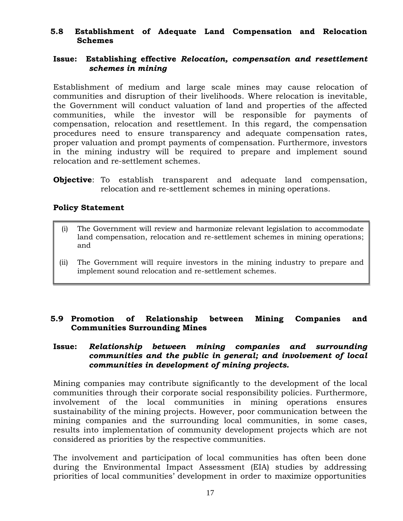## <span id="page-17-0"></span>**5.8 Establishment of Adequate Land Compensation and Relocation Schemes**

#### **Issue: Establishing effective** *Relocation, compensation and resettlement schemes in mining*

Establishment of medium and large scale mines may cause relocation of communities and disruption of their livelihoods. Where relocation is inevitable, the Government will conduct valuation of land and properties of the affected communities, while the investor will be responsible for payments of compensation, relocation and resettlement. In this regard, the compensation procedures need to ensure transparency and adequate compensation rates, proper valuation and prompt payments of compensation. Furthermore, investors in the mining industry will be required to prepare and implement sound relocation and re-settlement schemes.

**Objective**: To establish transparent and adequate land compensation, relocation and re-settlement schemes in mining operations.

## **Policy Statement**

- (i) The Government will review and harmonize relevant legislation to accommodate land compensation, relocation and re-settlement schemes in mining operations; and
- (ii) The Government will require investors in the mining industry to prepare and implement sound relocation and re-settlement schemes.

## <span id="page-17-1"></span>**5.9 Promotion of Relationship between Mining Companies and Communities Surrounding Mines**

#### **Issue:** *Relationship between mining companies and surrounding communities and the public in general; and involvement of local communities in development of mining projects.*

Mining companies may contribute significantly to the development of the local communities through their corporate social responsibility policies. Furthermore, involvement of the local communities in mining operations ensures sustainability of the mining projects. However, poor communication between the mining companies and the surrounding local communities, in some cases, results into implementation of community development projects which are not considered as priorities by the respective communities.

The involvement and participation of local communities has often been done during the Environmental Impact Assessment (EIA) studies by addressing priorities of local communities' development in order to maximize opportunities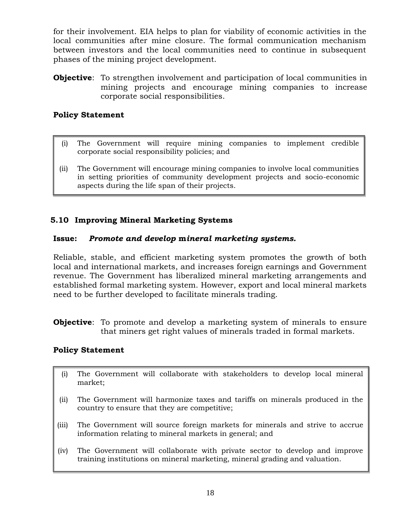for their involvement. EIA helps to plan for viability of economic activities in the local communities after mine closure. The formal communication mechanism between investors and the local communities need to continue in subsequent phases of the mining project development.

**Objective**: To strengthen involvement and participation of local communities in mining projects and encourage mining companies to increase corporate social responsibilities.

## **Policy Statement**

- (i) The Government will require mining companies to implement credible corporate social responsibility policies; and
- (ii) The Government will encourage mining companies to involve local communities in setting priorities of community development projects and socio-economic aspects during the life span of their projects.

## <span id="page-18-0"></span>**5.10 Improving Mineral Marketing Systems**

#### **Issue:** *Promote and develop* **m***ineral marketing systems.*

Reliable, stable, and efficient marketing system promotes the growth of both local and international markets, and increases foreign earnings and Government revenue. The Government has liberalized mineral marketing arrangements and established formal marketing system. However, export and local mineral markets need to be further developed to facilitate minerals trading.

**Objective**: To promote and develop a marketing system of minerals to ensure that miners get right values of minerals traded in formal markets.

- (i) The Government will collaborate with stakeholders to develop local mineral market;
- (ii) The Government will harmonize taxes and tariffs on minerals produced in the country to ensure that they are competitive;
- (iii) The Government will source foreign markets for minerals and strive to accrue information relating to mineral markets in general; and
- (iv) The Government will collaborate with private sector to develop and improve training institutions on mineral marketing, mineral grading and valuation.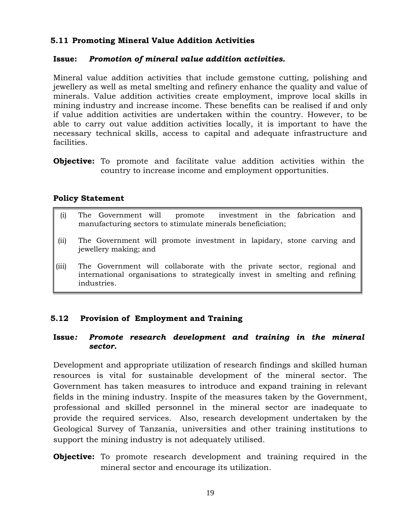# <span id="page-19-0"></span>**5.11 Promoting Mineral Value Addition Activities**

#### **Issue:** *Promotion of mineral value addition activities.*

Mineral value addition activities that include gemstone cutting, polishing and jewellery as well as metal smelting and refinery enhance the quality and value of minerals. Value addition activities create employment, improve local skills in mining industry and increase income. These benefits can be realised if and only if value addition activities are undertaken within the country. However, to be able to carry out value addition activities locally, it is important to have the necessary technical skills, access to capital and adequate infrastructure and facilities.

**Objective:** To promote and facilitate value addition activities within the country to increase income and employment opportunities.

## **Policy Statement**

- (i) The Government will promote investment in the fabrication and manufacturing sectors to stimulate minerals beneficiation;
- (ii) The Government will promote investment in lapidary, stone carving and jewellery making; and
- (iii) The Government will collaborate with the private sector, regional and international organisations to strategically invest in smelting and refining industries.

# <span id="page-19-1"></span>**5.12 Provision of Employment and Training**

#### **Issue***: Promote research development and training in the mineral sector.*

Development and appropriate utilization of research findings and skilled human resources is vital for sustainable development of the mineral sector. The Government has taken measures to introduce and expand training in relevant fields in the mining industry. Inspite of the measures taken by the Government, professional and skilled personnel in the mineral sector are inadequate to provide the required services. Also, research development undertaken by the Geological Survey of Tanzania, universities and other training institutions to support the mining industry is not adequately utilised.

**Objective:** To promote research development and training required in the mineral sector and encourage its utilization.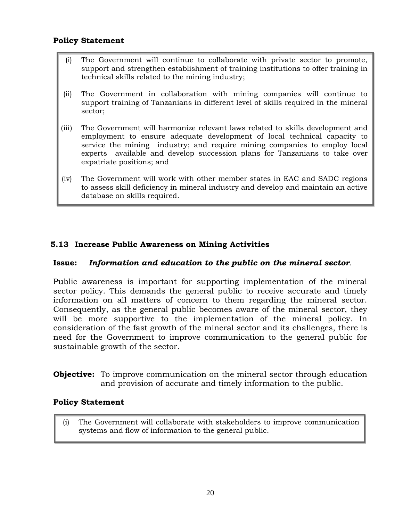#### **Policy Statement**

- (i) The Government will continue to collaborate with private sector to promote, support and strengthen establishment of training institutions to offer training in technical skills related to the mining industry;
- (ii) The Government in collaboration with mining companies will continue to support training of Tanzanians in different level of skills required in the mineral sector;
- (iii) The Government will harmonize relevant laws related to skills development and employment to ensure adequate development of local technical capacity to service the mining industry; and require mining companies to employ local experts available and develop succession plans for Tanzanians to take over expatriate positions; and
- (iv) The Government will work with other member states in EAC and SADC regions to assess skill deficiency in mineral industry and develop and maintain an active database on skills required.

## <span id="page-20-0"></span>**5.13 Increase Public Awareness on Mining Activities**

#### **Issue:** *Information and education to the public on the mineral sector*.

Public awareness is important for supporting implementation of the mineral sector policy. This demands the general public to receive accurate and timely information on all matters of concern to them regarding the mineral sector. Consequently, as the general public becomes aware of the mineral sector, they will be more supportive to the implementation of the mineral policy. In consideration of the fast growth of the mineral sector and its challenges, there is need for the Government to improve communication to the general public for sustainable growth of the sector.

**Objective:** To improve communication on the mineral sector through education and provision of accurate and timely information to the public.

#### **Policy Statement**

(i) The Government will collaborate with stakeholders to improve communication systems and flow of information to the general public.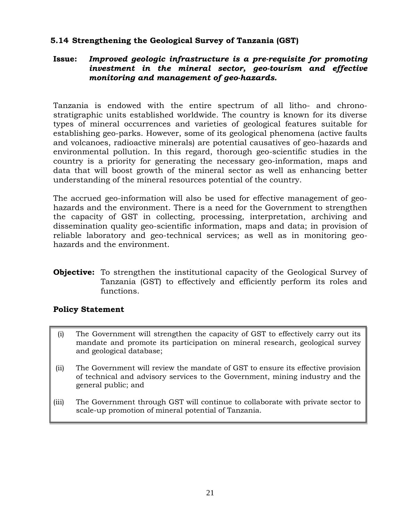## <span id="page-21-0"></span>**5.14 Strengthening the Geological Survey of Tanzania (GST)**

## **Issue:** *Improved geologic infrastructure is a pre-requisite for promoting investment in the mineral sector, geo-tourism and effective monitoring and management of geo-hazards.*

Tanzania is endowed with the entire spectrum of all litho- and chronostratigraphic units established worldwide. The country is known for its diverse types of mineral occurrences and varieties of geological features suitable for establishing geo-parks. However, some of its geological phenomena (active faults and volcanoes, radioactive minerals) are potential causatives of geo-hazards and environmental pollution. In this regard, thorough geo-scientific studies in the country is a priority for generating the necessary geo-information, maps and data that will boost growth of the mineral sector as well as enhancing better understanding of the mineral resources potential of the country.

The accrued geo-information will also be used for effective management of geohazards and the environment. There is a need for the Government to strengthen the capacity of GST in collecting, processing, interpretation, archiving and dissemination quality geo-scientific information, maps and data; in provision of reliable laboratory and geo-technical services; as well as in monitoring geohazards and the environment.

**Objective:** To strengthen the institutional capacity of the Geological Survey of Tanzania (GST) to effectively and efficiently perform its roles and functions.

- (i) The Government will strengthen the capacity of GST to effectively carry out its mandate and promote its participation on mineral research, geological survey and geological database;
- (ii) The Government will review the mandate of GST to ensure its effective provision of technical and advisory services to the Government, mining industry and the general public; and
- (iii) The Government through GST will continue to collaborate with private sector to scale-up promotion of mineral potential of Tanzania.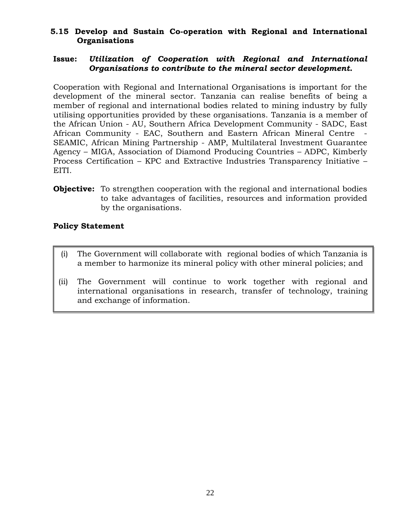## <span id="page-22-0"></span>**5.15 Develop and Sustain Co-operation with Regional and International Organisations**

## **Issue:** *Utilization of Cooperation with Regional and International Organisations to contribute to the mineral sector development.*

Cooperation with Regional and International Organisations is important for the development of the mineral sector. Tanzania can realise benefits of being a member of regional and international bodies related to mining industry by fully utilising opportunities provided by these organisations. Tanzania is a member of the African Union - AU, Southern Africa Development Community - SADC, East African Community - EAC, Southern and Eastern African Mineral Centre - SEAMIC, African Mining Partnership - AMP, Multilateral Investment Guarantee Agency – MIGA, Association of Diamond Producing Countries – ADPC, Kimberly Process Certification – KPC and Extractive Industries Transparency Initiative – EITI.

**Objective:** To strengthen cooperation with the regional and international bodies to take advantages of facilities, resources and information provided by the organisations.

- (i) The Government will collaborate with regional bodies of which Tanzania is a member to harmonize its mineral policy with other mineral policies; and
- (ii) The Government will continue to work together with regional and international organisations in research, transfer of technology, training and exchange of information.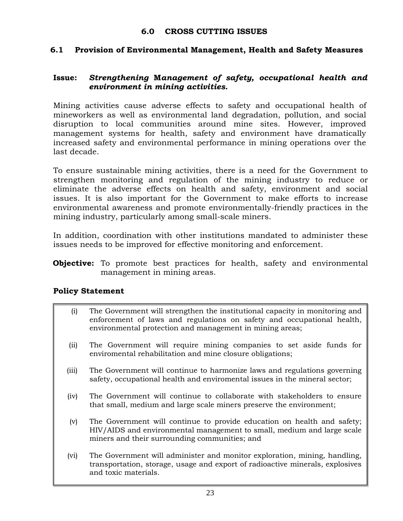#### **6.0 CROSS CUTTING ISSUES**

#### <span id="page-23-1"></span><span id="page-23-0"></span>**6.1 Provision of Environmental Management, Health and Safety Measures**

## **Issue:** *Strengthening* **M***anagement of safety, occupational health and environment in mining activities.*

Mining activities cause adverse effects to safety and occupational health of mineworkers as well as environmental land degradation, pollution, and social disruption to local communities around mine sites. However, improved management systems for health, safety and environment have dramatically increased safety and environmental performance in mining operations over the last decade.

To ensure sustainable mining activities, there is a need for the Government to strengthen monitoring and regulation of the mining industry to reduce or eliminate the adverse effects on health and safety, environment and social issues. It is also important for the Government to make efforts to increase environmental awareness and promote environmentally-friendly practices in the mining industry, particularly among small-scale miners.

In addition, coordination with other institutions mandated to administer these issues needs to be improved for effective monitoring and enforcement.

**Objective:** To promote best practices for health, safety and environmental management in mining areas.

- (i) The Government will strengthen the institutional capacity in monitoring and enforcement of laws and regulations on safety and occupational health, environmental protection and management in mining areas;
- (ii) The Government will require mining companies to set aside funds for enviromental rehabilitation and mine closure obligations;
- (iii) The Government will continue to harmonize laws and regulations governing safety, occupational health and enviromental issues in the mineral sector;
- (iv) The Government will continue to collaborate with stakeholders to ensure that small, medium and large scale miners preserve the environment;
- (v) The Government will continue to provide education on health and safety; HIV/AIDS and environmental management to small, medium and large scale miners and their surrounding communities; and
- (vi) The Government will administer and monitor exploration, mining, handling, transportation, storage, usage and export of radioactive minerals, explosives and toxic materials.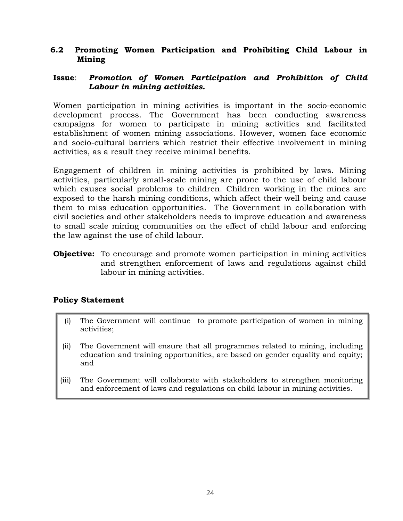### <span id="page-24-0"></span>**6.2 Promoting Women Participation and Prohibiting Child Labour in Mining**

## **Issue**: *Promotion of Women Participation and Prohibition of Child Labour in mining activities.*

Women participation in mining activities is important in the socio-economic development process. The Government has been conducting awareness campaigns for women to participate in mining activities and facilitated establishment of women mining associations. However, women face economic and socio-cultural barriers which restrict their effective involvement in mining activities, as a result they receive minimal benefits.

Engagement of children in mining activities is prohibited by laws. Mining activities, particularly small-scale mining are prone to the use of child labour which causes social problems to children. Children working in the mines are exposed to the harsh mining conditions, which affect their well being and cause them to miss education opportunities. The Government in collaboration with civil societies and other stakeholders needs to improve education and awareness to small scale mining communities on the effect of child labour and enforcing the law against the use of child labour.

**Objective:** To encourage and promote women participation in mining activities and strengthen enforcement of laws and regulations against child labour in mining activities.

- (i) The Government will continue to promote participation of women in mining activities;
- (ii) The Government will ensure that all programmes related to mining, including education and training opportunities, are based on gender equality and equity; and
- (iii) The Government will collaborate with stakeholders to strengthen monitoring and enforcement of laws and regulations on child labour in mining activities.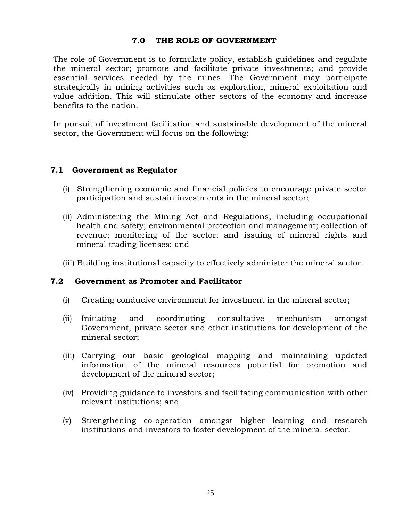#### **7.0 THE ROLE OF GOVERNMENT**

<span id="page-25-0"></span>The role of Government is to formulate policy, establish guidelines and regulate the mineral sector; promote and facilitate private investments; and provide essential services needed by the mines. The Government may participate strategically in mining activities such as exploration, mineral exploitation and value addition. This will stimulate other sectors of the economy and increase benefits to the nation.

In pursuit of investment facilitation and sustainable development of the mineral sector, the Government will focus on the following:

## <span id="page-25-1"></span>**7.1 Government as Regulator**

- (i) Strengthening economic and financial policies to encourage private sector participation and sustain investments in the mineral sector;
- (ii) Administering the Mining Act and Regulations, including occupational health and safety; environmental protection and management; collection of revenue; monitoring of the sector; and issuing of mineral rights and mineral trading licenses; and
- <span id="page-25-2"></span>(iii) Building institutional capacity to effectively administer the mineral sector.

#### **7.2 Government as Promoter and Facilitator**

- (i) Creating conducive environment for investment in the mineral sector;
- (ii) Initiating and coordinating consultative mechanism amongst Government, private sector and other institutions for development of the mineral sector;
- (iii) Carrying out basic geological mapping and maintaining updated information of the mineral resources potential for promotion and development of the mineral sector;
- (iv) Providing guidance to investors and facilitating communication with other relevant institutions; and
- (v) Strengthening co-operation amongst higher learning and research institutions and investors to foster development of the mineral sector.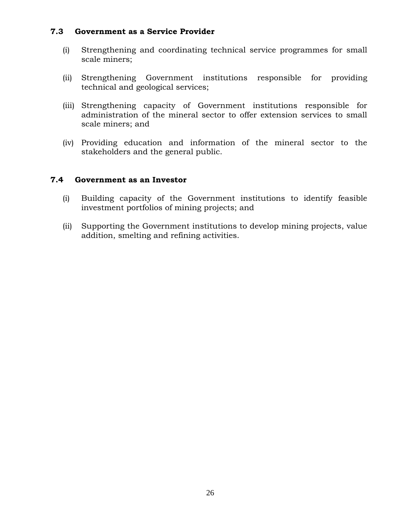#### **7.3 Government as a Service Provider**

- <span id="page-26-0"></span>(i) Strengthening and coordinating technical service programmes for small scale miners;
- (ii) Strengthening Government institutions responsible for providing technical and geological services;
- (iii) Strengthening capacity of Government institutions responsible for administration of the mineral sector to offer extension services to small scale miners; and
- (iv) Providing education and information of the mineral sector to the stakeholders and the general public.

## **7.4 Government as an Investor**

- <span id="page-26-1"></span>(i) Building capacity of the Government institutions to identify feasible investment portfolios of mining projects; and
- (ii) Supporting the Government institutions to develop mining projects, value addition, smelting and refining activities.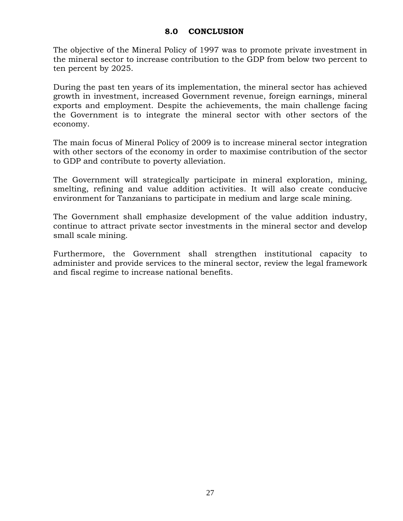#### **8.0 CONCLUSION**

<span id="page-27-0"></span>The objective of the Mineral Policy of 1997 was to promote private investment in the mineral sector to increase contribution to the GDP from below two percent to ten percent by 2025.

During the past ten years of its implementation, the mineral sector has achieved growth in investment, increased Government revenue, foreign earnings, mineral exports and employment. Despite the achievements, the main challenge facing the Government is to integrate the mineral sector with other sectors of the economy.

The main focus of Mineral Policy of 2009 is to increase mineral sector integration with other sectors of the economy in order to maximise contribution of the sector to GDP and contribute to poverty alleviation.

The Government will strategically participate in mineral exploration, mining, smelting, refining and value addition activities. It will also create conducive environment for Tanzanians to participate in medium and large scale mining.

The Government shall emphasize development of the value addition industry, continue to attract private sector investments in the mineral sector and develop small scale mining.

Furthermore, the Government shall strengthen institutional capacity to administer and provide services to the mineral sector, review the legal framework and fiscal regime to increase national benefits.